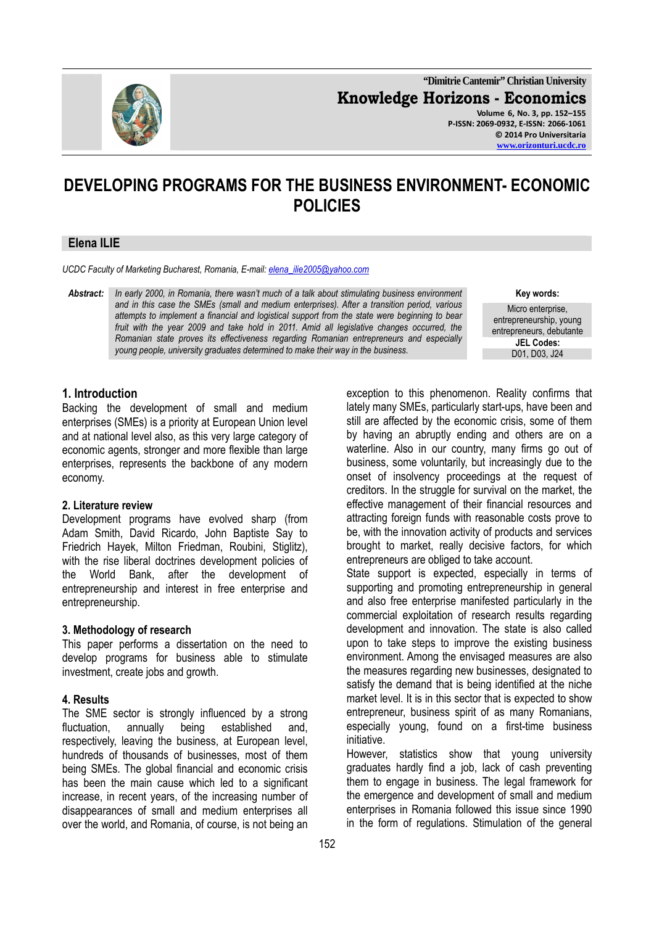

**"Dimitrie Cantemir" Christian University Knowledge Horizons - Economics Volume 6, No. 3, pp. 152–155 P-ISSN: 2069-0932, E-ISSN: 2066-1061 © 2014 Pro Universitaria www.orizonturi.ucdc.ro**

# **DEVELOPING PROGRAMS FOR THE BUSINESS ENVIRONMENT- ECONOMIC POLICIES**

#### **Elena ILIE**

*UCDC Faculty of Marketing Bucharest, Romania, E-mail: elena\_ilie2005@yahoo.com*

*Abstract: In early 2000, in Romania, there wasn't much of a talk about stimulating business environment and in this case the SMEs (small and medium enterprises). After a transition period, various attempts to implement a financial and logistical support from the state were beginning to bear fruit with the year 2009 and take hold in 2011. Amid all legislative changes occurred, the Romanian state proves its effectiveness regarding Romanian entrepreneurs and especially young people, university graduates determined to make their way in the business.* 

**Key words:** 

Micro enterprise, entrepreneurship, young entrepreneurs, debutante **JEL Codes:** 

# **1. Introduction**

Backing the development of small and medium enterprises (SMEs) is a priority at European Union level and at national level also, as this very large category of economic agents, stronger and more flexible than large enterprises, represents the backbone of any modern economy.

#### **2. Literature review**

Development programs have evolved sharp (from Adam Smith, David Ricardo, John Baptiste Say to Friedrich Hayek, Milton Friedman, Roubini, Stiglitz), with the rise liberal doctrines development policies of the World Bank, after the development of entrepreneurship and interest in free enterprise and entrepreneurship.

## **3. Methodology of research**

This paper performs a dissertation on the need to develop programs for business able to stimulate investment, create jobs and growth.

#### **4. Results**

The SME sector is strongly influenced by a strong fluctuation, annually being established and, respectively, leaving the business, at European level, hundreds of thousands of businesses, most of them being SMEs. The global financial and economic crisis has been the main cause which led to a significant increase, in recent years, of the increasing number of disappearances of small and medium enterprises all over the world, and Romania, of course, is not being an

exception to this phenomenon. Reality confirms that lately many SMEs, particularly start-ups, have been and still are affected by the economic crisis, some of them by having an abruptly ending and others are on a waterline. Also in our country, many firms go out of business, some voluntarily, but increasingly due to the onset of insolvency proceedings at the request of creditors. In the struggle for survival on the market, the effective management of their financial resources and attracting foreign funds with reasonable costs prove to be, with the innovation activity of products and services brought to market, really decisive factors, for which entrepreneurs are obliged to take account.

State support is expected, especially in terms of supporting and promoting entrepreneurship in general and also free enterprise manifested particularly in the commercial exploitation of research results regarding development and innovation. The state is also called upon to take steps to improve the existing business environment. Among the envisaged measures are also the measures regarding new businesses, designated to satisfy the demand that is being identified at the niche market level. It is in this sector that is expected to show entrepreneur, business spirit of as many Romanians, especially young, found on a first-time business initiative.

However, statistics show that young university graduates hardly find a job, lack of cash preventing them to engage in business. The legal framework for the emergence and development of small and medium enterprises in Romania followed this issue since 1990 in the form of regulations. Stimulation of the general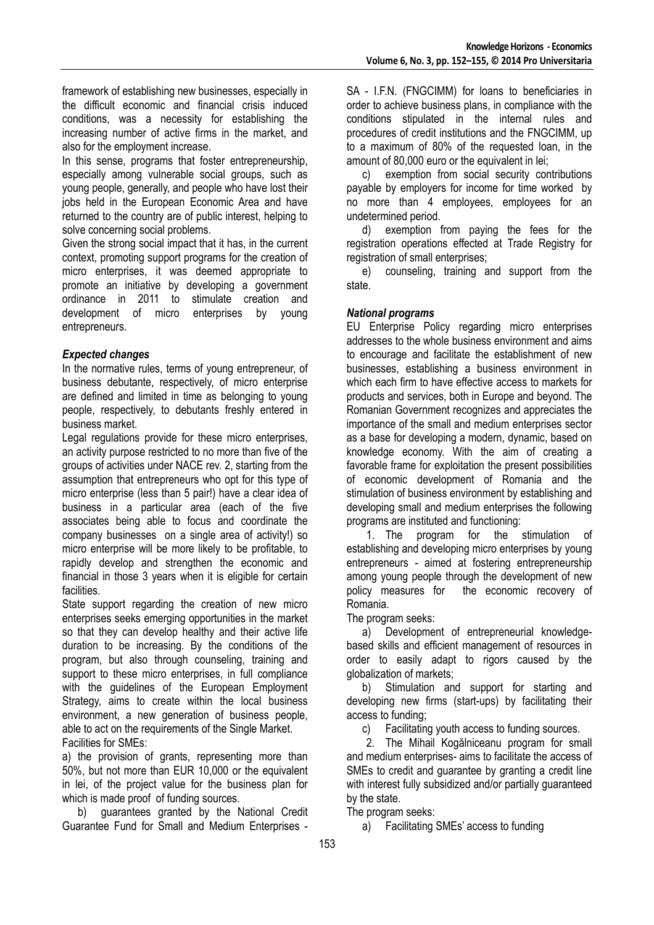framework of establishing new businesses, especially in the difficult economic and financial crisis induced conditions, was a necessity for establishing the increasing number of active firms in the market, and also for the employment increase.

In this sense, programs that foster entrepreneurship, especially among vulnerable social groups, such as young people, generally, and people who have lost their jobs held in the European Economic Area and have returned to the country are of public interest, helping to solve concerning social problems.

Given the strong social impact that it has, in the current context, promoting support programs for the creation of micro enterprises, it was deemed appropriate to promote an initiative by developing a government ordinance in 2011 to stimulate creation and development of micro enterprises by young entrepreneurs.

## *Expected changes*

In the normative rules, terms of young entrepreneur, of business debutante, respectively, of micro enterprise are defined and limited in time as belonging to young people, respectively, to debutants freshly entered in business market.

Legal regulations provide for these micro enterprises, an activity purpose restricted to no more than five of the groups of activities under NACE rev. 2, starting from the assumption that entrepreneurs who opt for this type of micro enterprise (less than 5 pair!) have a clear idea of business in a particular area (each of the five associates being able to focus and coordinate the company businesses on a single area of activity!) so micro enterprise will be more likely to be profitable, to rapidly develop and strengthen the economic and financial in those 3 years when it is eligible for certain facilities.

State support regarding the creation of new micro enterprises seeks emerging opportunities in the market so that they can develop healthy and their active life duration to be increasing. By the conditions of the program, but also through counseling, training and support to these micro enterprises, in full compliance with the quidelines of the European Employment Strategy, aims to create within the local business environment, a new generation of business people, able to act on the requirements of the Single Market. Facilities for SMEs:

a) the provision of grants, representing more than 50%, but not more than EUR 10,000 or the equivalent in lei, of the project value for the business plan for which is made proof of funding sources.

b) guarantees granted by the National Credit Guarantee Fund for Small and Medium Enterprises -

SA - I.F.N. (FNGCIMM) for loans to beneficiaries in order to achieve business plans, in compliance with the conditions stipulated in the internal rules and procedures of credit institutions and the FNGCIMM, up to a maximum of 80% of the requested loan, in the amount of 80,000 euro or the equivalent in lei;

c) exemption from social security contributions payable by employers for income for time worked by no more than 4 employees, employees for an undetermined period.

d) exemption from paying the fees for the registration operations effected at Trade Registry for registration of small enterprises;

e) counseling, training and support from the state.

## *National programs*

EU Enterprise Policy regarding micro enterprises addresses to the whole business environment and aims to encourage and facilitate the establishment of new businesses, establishing a business environment in which each firm to have effective access to markets for products and services, both in Europe and beyond. The Romanian Government recognizes and appreciates the importance of the small and medium enterprises sector as a base for developing a modern, dynamic, based on knowledge economy. With the aim of creating a favorable frame for exploitation the present possibilities of economic development of Romania and the stimulation of business environment by establishing and developing small and medium enterprises the following programs are instituted and functioning:

1. The program for the stimulation of establishing and developing micro enterprises by young entrepreneurs - aimed at fostering entrepreneurship among young people through the development of new policy measures for the economic recovery of Romania.

The program seeks:

a) Development of entrepreneurial knowledgebased skills and efficient management of resources in order to easily adapt to rigors caused by the globalization of markets;

b) Stimulation and support for starting and developing new firms (start-ups) by facilitating their access to funding;

c) Facilitating youth access to funding sources.

2. The Mihail Kogălniceanu program for small and medium enterprises- aims to facilitate the access of SMEs to credit and guarantee by granting a credit line with interest fully subsidized and/or partially guaranteed by the state.

The program seeks:

a) Facilitating SMEs' access to funding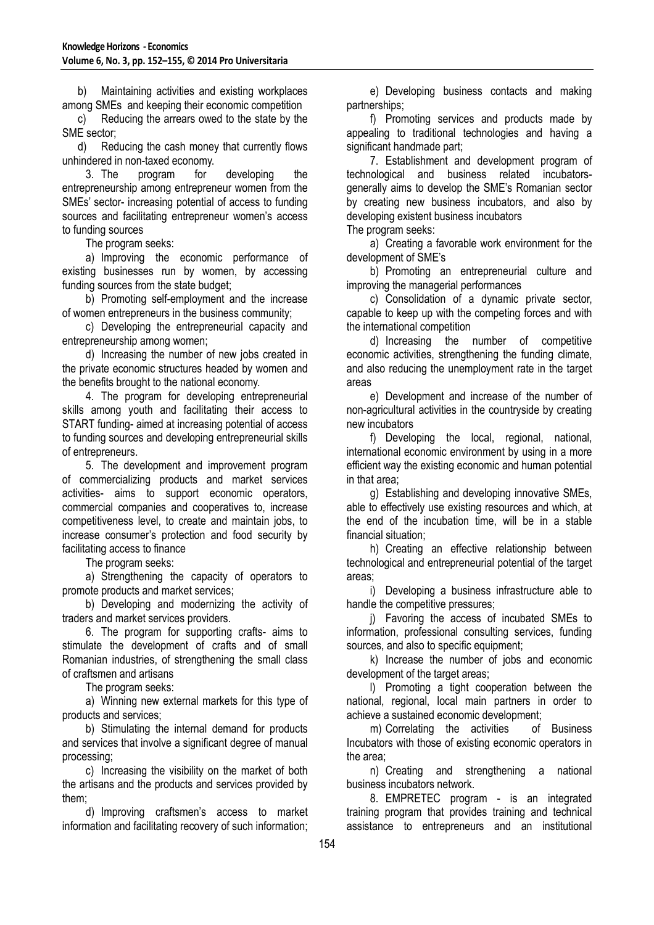b) Maintaining activities and existing workplaces among SMEs and keeping their economic competition

c) Reducing the arrears owed to the state by the SME sector;

d) Reducing the cash money that currently flows unhindered in non-taxed economy.

3. The program for developing the entrepreneurship among entrepreneur women from the SMEs' sector- increasing potential of access to funding sources and facilitating entrepreneur women's access to funding sources

The program seeks:

a) Improving the economic performance of existing businesses run by women, by accessing funding sources from the state budget;

b) Promoting self-employment and the increase of women entrepreneurs in the business community;

c) Developing the entrepreneurial capacity and entrepreneurship among women;

d) Increasing the number of new jobs created in the private economic structures headed by women and the benefits brought to the national economy.

4. The program for developing entrepreneurial skills among youth and facilitating their access to START funding- aimed at increasing potential of access to funding sources and developing entrepreneurial skills of entrepreneurs.

5. The development and improvement program of commercializing products and market services activities- aims to support economic operators, commercial companies and cooperatives to, increase competitiveness level, to create and maintain jobs, to increase consumer's protection and food security by facilitating access to finance

The program seeks:

a) Strengthening the capacity of operators to promote products and market services;

b) Developing and modernizing the activity of traders and market services providers.

6. The program for supporting crafts- aims to stimulate the development of crafts and of small Romanian industries, of strengthening the small class of craftsmen and artisans

The program seeks:

a) Winning new external markets for this type of products and services;

b) Stimulating the internal demand for products and services that involve a significant degree of manual processing;

c) Increasing the visibility on the market of both the artisans and the products and services provided by them;

d) Improving craftsmen's access to market information and facilitating recovery of such information;

e) Developing business contacts and making partnerships;

f) Promoting services and products made by appealing to traditional technologies and having a significant handmade part;

7. Establishment and development program of technological and business related incubatorsgenerally aims to develop the SME's Romanian sector by creating new business incubators, and also by developing existent business incubators

The program seeks:

a) Creating a favorable work environment for the development of SME's

b) Promoting an entrepreneurial culture and improving the managerial performances

c) Consolidation of a dynamic private sector, capable to keep up with the competing forces and with the international competition

d) Increasing the number of competitive economic activities, strengthening the funding climate, and also reducing the unemployment rate in the target areas

e) Development and increase of the number of non-agricultural activities in the countryside by creating new incubators

f) Developing the local, regional, national, international economic environment by using in a more efficient way the existing economic and human potential in that area;

g) Establishing and developing innovative SMEs, able to effectively use existing resources and which, at the end of the incubation time, will be in a stable financial situation;

h) Creating an effective relationship between technological and entrepreneurial potential of the target areas;

i) Developing a business infrastructure able to handle the competitive pressures;

j) Favoring the access of incubated SMEs to information, professional consulting services, funding sources, and also to specific equipment;

k) Increase the number of jobs and economic development of the target areas;

l) Promoting a tight cooperation between the national, regional, local main partners in order to achieve a sustained economic development;

m) Correlating the activities of Business Incubators with those of existing economic operators in the area;

n) Creating and strengthening a national business incubators network.

8. EMPRETEC program - is an integrated training program that provides training and technical assistance to entrepreneurs and an institutional